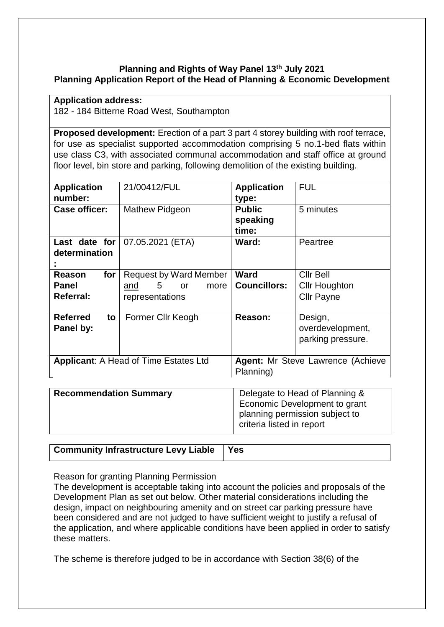### **Planning and Rights of Way Panel 13th July 2021 Planning Application Report of the Head of Planning & Economic Development**

#### **Application address:**

182 - 184 Bitterne Road West, Southampton

**Proposed development:** Erection of a part 3 part 4 storey building with roof terrace, for use as specialist supported accommodation comprising 5 no.1-bed flats within use class C3, with associated communal accommodation and staff office at ground floor level, bin store and parking, following demolition of the existing building.

| <b>Application</b><br>number:                     | 21/00412/FUL                                                                                   | <b>Application</b><br>type:                    | <b>FUL</b>                                                    |
|---------------------------------------------------|------------------------------------------------------------------------------------------------|------------------------------------------------|---------------------------------------------------------------|
| <b>Case officer:</b>                              | Mathew Pidgeon                                                                                 | <b>Public</b><br>speaking<br>time:             | 5 minutes                                                     |
| Last date for<br>determination                    | 07.05.2021 (ETA)                                                                               | Ward:                                          | Peartree                                                      |
| <b>Reason</b><br>for<br>Panel<br><b>Referral:</b> | <b>Request by Ward Member</b><br>5 <sup>5</sup><br>more<br><b>or</b><br>and<br>representations | Ward<br><b>Councillors:</b>                    | <b>Cllr Bell</b><br><b>Cllr Houghton</b><br><b>Cllr Payne</b> |
| <b>Referred</b><br>to<br>Panel by:                | Former Cllr Keogh                                                                              | Reason:                                        | Design,<br>overdevelopment,<br>parking pressure.              |
| <b>Applicant: A Head of Time Estates Ltd</b>      |                                                                                                | Agent: Mr Steve Lawrence (Achieve<br>Planning) |                                                               |

| <b>Recommendation Summary</b> | Delegate to Head of Planning &<br>Economic Development to grant<br>planning permission subject to<br>criteria listed in report |
|-------------------------------|--------------------------------------------------------------------------------------------------------------------------------|
|                               |                                                                                                                                |

| Community Infrastructure Levy Liable   Yes |  |  |  |  |
|--------------------------------------------|--|--|--|--|
|--------------------------------------------|--|--|--|--|

Reason for granting Planning Permission

The development is acceptable taking into account the policies and proposals of the Development Plan as set out below. Other material considerations including the design, impact on neighbouring amenity and on street car parking pressure have been considered and are not judged to have sufficient weight to justify a refusal of the application, and where applicable conditions have been applied in order to satisfy these matters.

The scheme is therefore judged to be in accordance with Section 38(6) of the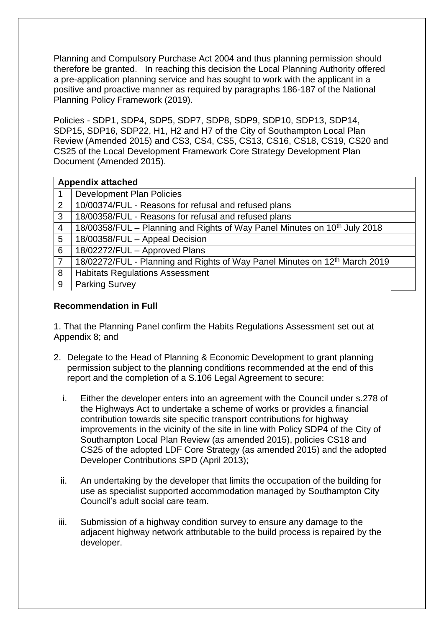Planning and Compulsory Purchase Act 2004 and thus planning permission should therefore be granted. In reaching this decision the Local Planning Authority offered a pre-application planning service and has sought to work with the applicant in a positive and proactive manner as required by paragraphs 186-187 of the National Planning Policy Framework (2019).

Policies - SDP1, SDP4, SDP5, SDP7, SDP8, SDP9, SDP10, SDP13, SDP14, SDP15, SDP16, SDP22, H1, H2 and H7 of the City of Southampton Local Plan Review (Amended 2015) and CS3, CS4, CS5, CS13, CS16, CS18, CS19, CS20 and CS25 of the Local Development Framework Core Strategy Development Plan Document (Amended 2015).

| <b>Appendix attached</b> |                                                                                        |  |
|--------------------------|----------------------------------------------------------------------------------------|--|
|                          | <b>Development Plan Policies</b>                                                       |  |
| 2                        | 10/00374/FUL - Reasons for refusal and refused plans                                   |  |
| 3                        | 18/00358/FUL - Reasons for refusal and refused plans                                   |  |
| 4                        | 18/00358/FUL - Planning and Rights of Way Panel Minutes on 10 <sup>th</sup> July 2018  |  |
| 5                        | 18/00358/FUL - Appeal Decision                                                         |  |
| 6                        | 18/02272/FUL - Approved Plans                                                          |  |
|                          | 18/02272/FUL - Planning and Rights of Way Panel Minutes on 12 <sup>th</sup> March 2019 |  |
| 8                        | <b>Habitats Regulations Assessment</b>                                                 |  |
| 9                        | <b>Parking Survey</b>                                                                  |  |

## **Recommendation in Full**

1. That the Planning Panel confirm the Habits Regulations Assessment set out at Appendix 8; and

- 2. Delegate to the Head of Planning & Economic Development to grant planning permission subject to the planning conditions recommended at the end of this report and the completion of a S.106 Legal Agreement to secure:
	- i. Either the developer enters into an agreement with the Council under s.278 of the Highways Act to undertake a scheme of works or provides a financial contribution towards site specific transport contributions for highway improvements in the vicinity of the site in line with Policy SDP4 of the City of Southampton Local Plan Review (as amended 2015), policies CS18 and CS25 of the adopted LDF Core Strategy (as amended 2015) and the adopted Developer Contributions SPD (April 2013);
	- ii. An undertaking by the developer that limits the occupation of the building for use as specialist supported accommodation managed by Southampton City Council's adult social care team.
	- iii. Submission of a highway condition survey to ensure any damage to the adjacent highway network attributable to the build process is repaired by the developer.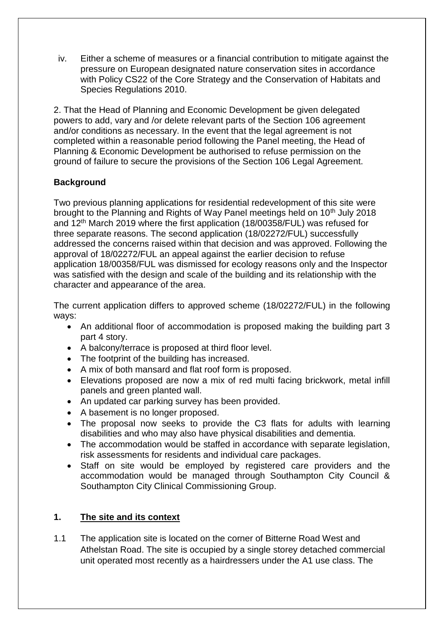iv. Either a scheme of measures or a financial contribution to mitigate against the pressure on European designated nature conservation sites in accordance with Policy CS22 of the Core Strategy and the Conservation of Habitats and Species Regulations 2010.

2. That the Head of Planning and Economic Development be given delegated powers to add, vary and /or delete relevant parts of the Section 106 agreement and/or conditions as necessary. In the event that the legal agreement is not completed within a reasonable period following the Panel meeting, the Head of Planning & Economic Development be authorised to refuse permission on the ground of failure to secure the provisions of the Section 106 Legal Agreement.

## **Background**

Two previous planning applications for residential redevelopment of this site were brought to the Planning and Rights of Way Panel meetings held on 10<sup>th</sup> July 2018 and 12th March 2019 where the first application (18/00358/FUL) was refused for three separate reasons. The second application (18/02272/FUL) successfully addressed the concerns raised within that decision and was approved. Following the approval of 18/02272/FUL an appeal against the earlier decision to refuse application 18/00358/FUL was dismissed for ecology reasons only and the Inspector was satisfied with the design and scale of the building and its relationship with the character and appearance of the area.

The current application differs to approved scheme (18/02272/FUL) in the following ways:

- An additional floor of accommodation is proposed making the building part 3 part 4 story.
- A balcony/terrace is proposed at third floor level.
- The footprint of the building has increased.
- A mix of both mansard and flat roof form is proposed.
- Elevations proposed are now a mix of red multi facing brickwork, metal infill panels and green planted wall.
- An updated car parking survey has been provided.
- A basement is no longer proposed.
- The proposal now seeks to provide the C3 flats for adults with learning disabilities and who may also have physical disabilities and dementia.
- The accommodation would be staffed in accordance with separate legislation, risk assessments for residents and individual care packages.
- Staff on site would be employed by registered care providers and the accommodation would be managed through Southampton City Council & Southampton City Clinical Commissioning Group.

## **1. The site and its context**

1.1 The application site is located on the corner of Bitterne Road West and Athelstan Road. The site is occupied by a single storey detached commercial unit operated most recently as a hairdressers under the A1 use class. The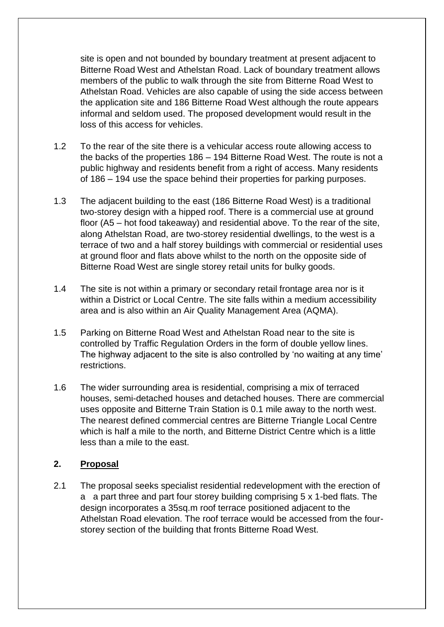site is open and not bounded by boundary treatment at present adjacent to Bitterne Road West and Athelstan Road. Lack of boundary treatment allows members of the public to walk through the site from Bitterne Road West to Athelstan Road. Vehicles are also capable of using the side access between the application site and 186 Bitterne Road West although the route appears informal and seldom used. The proposed development would result in the loss of this access for vehicles.

- 1.2 To the rear of the site there is a vehicular access route allowing access to the backs of the properties 186 – 194 Bitterne Road West. The route is not a public highway and residents benefit from a right of access. Many residents of 186 – 194 use the space behind their properties for parking purposes.
- 1.3 The adjacent building to the east (186 Bitterne Road West) is a traditional two-storey design with a hipped roof. There is a commercial use at ground floor (A5 – hot food takeaway) and residential above. To the rear of the site, along Athelstan Road, are two-storey residential dwellings, to the west is a terrace of two and a half storey buildings with commercial or residential uses at ground floor and flats above whilst to the north on the opposite side of Bitterne Road West are single storey retail units for bulky goods.
- 1.4 The site is not within a primary or secondary retail frontage area nor is it within a District or Local Centre. The site falls within a medium accessibility area and is also within an Air Quality Management Area (AQMA).
- 1.5 Parking on Bitterne Road West and Athelstan Road near to the site is controlled by Traffic Regulation Orders in the form of double yellow lines. The highway adjacent to the site is also controlled by 'no waiting at any time' restrictions.
- 1.6 The wider surrounding area is residential, comprising a mix of terraced houses, semi-detached houses and detached houses. There are commercial uses opposite and Bitterne Train Station is 0.1 mile away to the north west. The nearest defined commercial centres are Bitterne Triangle Local Centre which is half a mile to the north, and Bitterne District Centre which is a little less than a mile to the east.

## **2. Proposal**

2.1 The proposal seeks specialist residential redevelopment with the erection of a a part three and part four storey building comprising 5 x 1-bed flats. The design incorporates a 35sq.m roof terrace positioned adjacent to the Athelstan Road elevation. The roof terrace would be accessed from the fourstorey section of the building that fronts Bitterne Road West.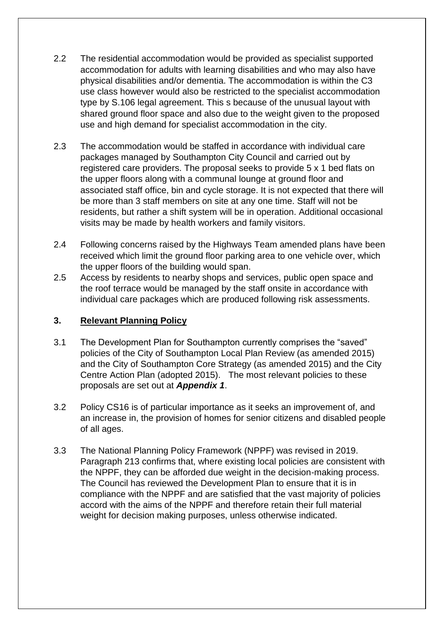- 2.2 The residential accommodation would be provided as specialist supported accommodation for adults with learning disabilities and who may also have physical disabilities and/or dementia. The accommodation is within the C3 use class however would also be restricted to the specialist accommodation type by S.106 legal agreement. This s because of the unusual layout with shared ground floor space and also due to the weight given to the proposed use and high demand for specialist accommodation in the city.
- 2.3 The accommodation would be staffed in accordance with individual care packages managed by Southampton City Council and carried out by registered care providers. The proposal seeks to provide 5 x 1 bed flats on the upper floors along with a communal lounge at ground floor and associated staff office, bin and cycle storage. It is not expected that there will be more than 3 staff members on site at any one time. Staff will not be residents, but rather a shift system will be in operation. Additional occasional visits may be made by health workers and family visitors.
- 2.4 Following concerns raised by the Highways Team amended plans have been received which limit the ground floor parking area to one vehicle over, which the upper floors of the building would span.
- 2.5 Access by residents to nearby shops and services, public open space and the roof terrace would be managed by the staff onsite in accordance with individual care packages which are produced following risk assessments.

## **3. Relevant Planning Policy**

- 3.1 The Development Plan for Southampton currently comprises the "saved" policies of the City of Southampton Local Plan Review (as amended 2015) and the City of Southampton Core Strategy (as amended 2015) and the City Centre Action Plan (adopted 2015). The most relevant policies to these proposals are set out at *Appendix 1*.
- 3.2 Policy CS16 is of particular importance as it seeks an improvement of, and an increase in, the provision of homes for senior citizens and disabled people of all ages.
- 3.3 The National Planning Policy Framework (NPPF) was revised in 2019. Paragraph 213 confirms that, where existing local policies are consistent with the NPPF, they can be afforded due weight in the decision-making process. The Council has reviewed the Development Plan to ensure that it is in compliance with the NPPF and are satisfied that the vast majority of policies accord with the aims of the NPPF and therefore retain their full material weight for decision making purposes, unless otherwise indicated.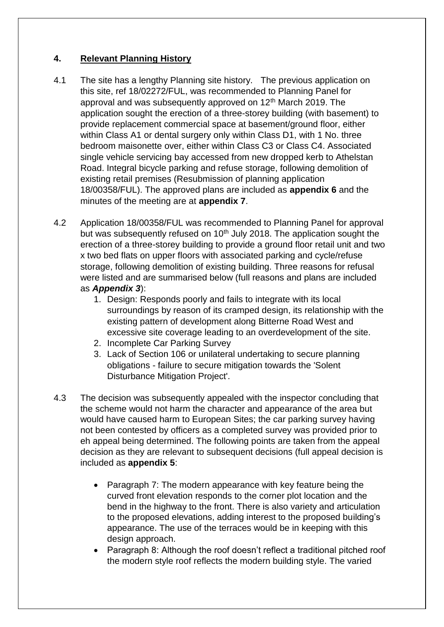## **4. Relevant Planning History**

- 4.1 The site has a lengthy Planning site history. The previous application on this site, ref 18/02272/FUL, was recommended to Planning Panel for approval and was subsequently approved on 12<sup>th</sup> March 2019. The application sought the erection of a three-storey building (with basement) to provide replacement commercial space at basement/ground floor, either within Class A1 or dental surgery only within Class D1, with 1 No. three bedroom maisonette over, either within Class C3 or Class C4. Associated single vehicle servicing bay accessed from new dropped kerb to Athelstan Road. Integral bicycle parking and refuse storage, following demolition of existing retail premises (Resubmission of planning application 18/00358/FUL). The approved plans are included as **appendix 6** and the minutes of the meeting are at **appendix 7**.
- 4.2 Application 18/00358/FUL was recommended to Planning Panel for approval but was subsequently refused on  $10<sup>th</sup>$  July 2018. The application sought the erection of a three-storey building to provide a ground floor retail unit and two x two bed flats on upper floors with associated parking and cycle/refuse storage, following demolition of existing building. Three reasons for refusal were listed and are summarised below (full reasons and plans are included as *Appendix 3*):
	- 1. Design: Responds poorly and fails to integrate with its local surroundings by reason of its cramped design, its relationship with the existing pattern of development along Bitterne Road West and excessive site coverage leading to an overdevelopment of the site.
	- 2. Incomplete Car Parking Survey
	- 3. Lack of Section 106 or unilateral undertaking to secure planning obligations - failure to secure mitigation towards the 'Solent Disturbance Mitigation Project'.
- 4.3 The decision was subsequently appealed with the inspector concluding that the scheme would not harm the character and appearance of the area but would have caused harm to European Sites; the car parking survey having not been contested by officers as a completed survey was provided prior to eh appeal being determined. The following points are taken from the appeal decision as they are relevant to subsequent decisions (full appeal decision is included as **appendix 5**:
	- Paragraph 7: The modern appearance with key feature being the curved front elevation responds to the corner plot location and the bend in the highway to the front. There is also variety and articulation to the proposed elevations, adding interest to the proposed building's appearance. The use of the terraces would be in keeping with this design approach.
	- Paragraph 8: Although the roof doesn't reflect a traditional pitched roof the modern style roof reflects the modern building style. The varied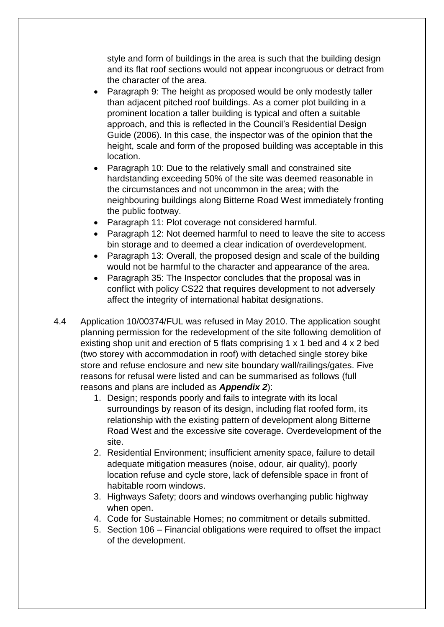style and form of buildings in the area is such that the building design and its flat roof sections would not appear incongruous or detract from the character of the area.

- Paragraph 9: The height as proposed would be only modestly taller than adjacent pitched roof buildings. As a corner plot building in a prominent location a taller building is typical and often a suitable approach, and this is reflected in the Council's Residential Design Guide (2006). In this case, the inspector was of the opinion that the height, scale and form of the proposed building was acceptable in this location.
- Paragraph 10: Due to the relatively small and constrained site hardstanding exceeding 50% of the site was deemed reasonable in the circumstances and not uncommon in the area; with the neighbouring buildings along Bitterne Road West immediately fronting the public footway.
- Paragraph 11: Plot coverage not considered harmful.
- Paragraph 12: Not deemed harmful to need to leave the site to access bin storage and to deemed a clear indication of overdevelopment.
- Paragraph 13: Overall, the proposed design and scale of the building would not be harmful to the character and appearance of the area.
- Paragraph 35: The Inspector concludes that the proposal was in conflict with policy CS22 that requires development to not adversely affect the integrity of international habitat designations.
- 4.4 Application 10/00374/FUL was refused in May 2010. The application sought planning permission for the redevelopment of the site following demolition of existing shop unit and erection of 5 flats comprising 1 x 1 bed and 4 x 2 bed (two storey with accommodation in roof) with detached single storey bike store and refuse enclosure and new site boundary wall/railings/gates. Five reasons for refusal were listed and can be summarised as follows (full reasons and plans are included as *Appendix 2*):
	- 1. Design; responds poorly and fails to integrate with its local surroundings by reason of its design, including flat roofed form, its relationship with the existing pattern of development along Bitterne Road West and the excessive site coverage. Overdevelopment of the site.
	- 2. Residential Environment; insufficient amenity space, failure to detail adequate mitigation measures (noise, odour, air quality), poorly location refuse and cycle store, lack of defensible space in front of habitable room windows.
	- 3. Highways Safety; doors and windows overhanging public highway when open.
	- 4. Code for Sustainable Homes; no commitment or details submitted.
	- 5. Section 106 Financial obligations were required to offset the impact of the development.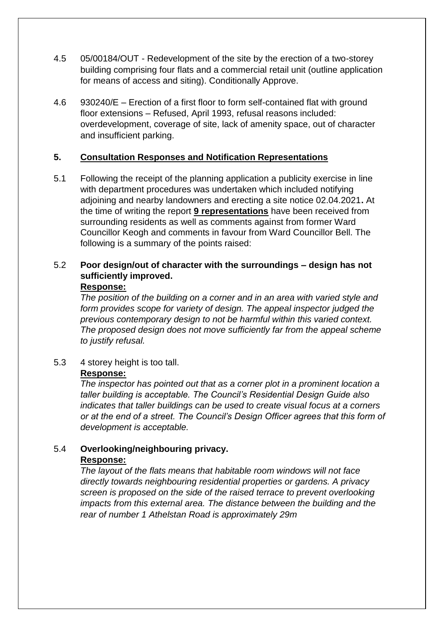- 4.5 05/00184/OUT Redevelopment of the site by the erection of a two-storey building comprising four flats and a commercial retail unit (outline application for means of access and siting). Conditionally Approve.
- 4.6 930240/E Erection of a first floor to form self-contained flat with ground floor extensions – Refused, April 1993, refusal reasons included: overdevelopment, coverage of site, lack of amenity space, out of character and insufficient parking.

### **5. Consultation Responses and Notification Representations**

5.1 Following the receipt of the planning application a publicity exercise in line with department procedures was undertaken which included notifying adjoining and nearby landowners and erecting a site notice 02.04.2021**.** At the time of writing the report **9 representations** have been received from surrounding residents as well as comments against from former Ward Councillor Keogh and comments in favour from Ward Councillor Bell. The following is a summary of the points raised:

## 5.2 **Poor design/out of character with the surroundings – design has not sufficiently improved.**

#### **Response:**

*The position of the building on a corner and in an area with varied style and form provides scope for variety of design. The appeal inspector judged the previous contemporary design to not be harmful within this varied context. The proposed design does not move sufficiently far from the appeal scheme to justify refusal.*

5.3 4 storey height is too tall. **Response:**

### *The inspector has pointed out that as a corner plot in a prominent location a taller building is acceptable. The Council's Residential Design Guide also indicates that taller buildings can be used to create visual focus at a corners or at the end of a street. The Council's Design Officer agrees that this form of development is acceptable.*

### 5.4 **Overlooking/neighbouring privacy. Response:**

*The layout of the flats means that habitable room windows will not face directly towards neighbouring residential properties or gardens. A privacy screen is proposed on the side of the raised terrace to prevent overlooking impacts from this external area. The distance between the building and the rear of number 1 Athelstan Road is approximately 29m*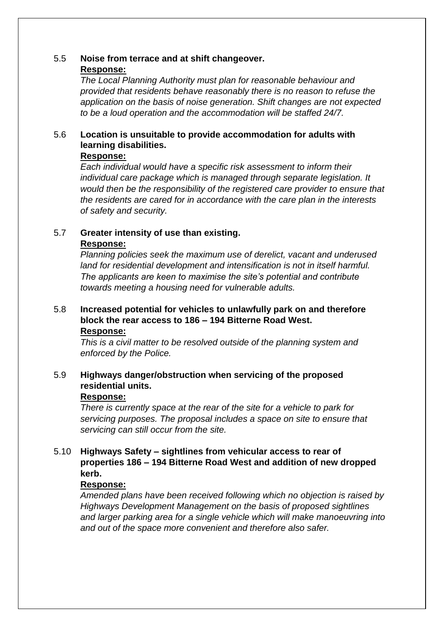## 5.5 **Noise from terrace and at shift changeover. Response:**

*The Local Planning Authority must plan for reasonable behaviour and provided that residents behave reasonably there is no reason to refuse the application on the basis of noise generation. Shift changes are not expected to be a loud operation and the accommodation will be staffed 24/7.*

## 5.6 **Location is unsuitable to provide accommodation for adults with learning disabilities.**

### **Response:**

*Each individual would have a specific risk assessment to inform their individual care package which is managed through separate legislation. It would then be the responsibility of the registered care provider to ensure that the residents are cared for in accordance with the care plan in the interests of safety and security.* 

#### 5.7 **Greater intensity of use than existing. Response:**

*Planning policies seek the maximum use of derelict, vacant and underused land for residential development and intensification is not in itself harmful. The applicants are keen to maximise the site's potential and contribute towards meeting a housing need for vulnerable adults.*

#### 5.8 **Increased potential for vehicles to unlawfully park on and therefore block the rear access to 186 – 194 Bitterne Road West. Response:**

*This is a civil matter to be resolved outside of the planning system and enforced by the Police.*

## 5.9 **Highways danger/obstruction when servicing of the proposed residential units.**

### **Response:**

*There is currently space at the rear of the site for a vehicle to park for servicing purposes. The proposal includes a space on site to ensure that servicing can still occur from the site.*

## 5.10 **Highways Safety – sightlines from vehicular access to rear of properties 186 – 194 Bitterne Road West and addition of new dropped kerb.**

### **Response:**

*Amended plans have been received following which no objection is raised by Highways Development Management on the basis of proposed sightlines and larger parking area for a single vehicle which will make manoeuvring into and out of the space more convenient and therefore also safer.*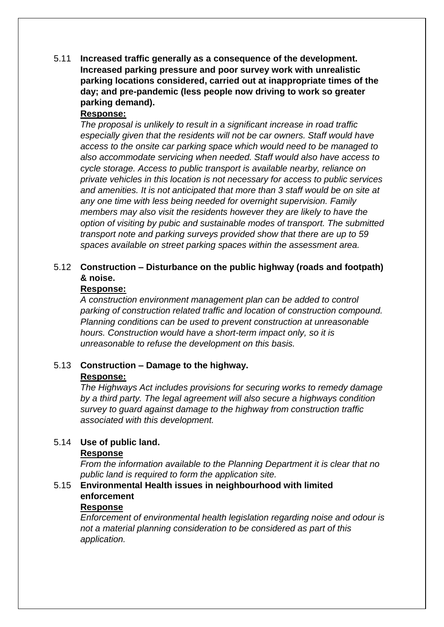5.11 **Increased traffic generally as a consequence of the development. Increased parking pressure and poor survey work with unrealistic parking locations considered, carried out at inappropriate times of the day; and pre-pandemic (less people now driving to work so greater parking demand).**

### **Response:**

*The proposal is unlikely to result in a significant increase in road traffic especially given that the residents will not be car owners. Staff would have access to the onsite car parking space which would need to be managed to also accommodate servicing when needed. Staff would also have access to cycle storage. Access to public transport is available nearby, reliance on private vehicles in this location is not necessary for access to public services and amenities. It is not anticipated that more than 3 staff would be on site at any one time with less being needed for overnight supervision. Family members may also visit the residents however they are likely to have the option of visiting by pubic and sustainable modes of transport. The submitted transport note and parking surveys provided show that there are up to 59 spaces available on street parking spaces within the assessment area.*

## 5.12 **Construction – Disturbance on the public highway (roads and footpath) & noise.**

### **Response:**

*A construction environment management plan can be added to control parking of construction related traffic and location of construction compound. Planning conditions can be used to prevent construction at unreasonable hours. Construction would have a short-term impact only, so it is unreasonable to refuse the development on this basis.*

#### 5.13 **Construction – Damage to the highway. Response:**

*associated with this development.*

*The Highways Act includes provisions for securing works to remedy damage by a third party. The legal agreement will also secure a highways condition survey to guard against damage to the highway from construction traffic* 

# 5.14 **Use of public land.**

### **Response**

*From the information available to the Planning Department it is clear that no public land is required to form the application site.* 

## 5.15 **Environmental Health issues in neighbourhood with limited enforcement**

### **Response**

*Enforcement of environmental health legislation regarding noise and odour is not a material planning consideration to be considered as part of this application.*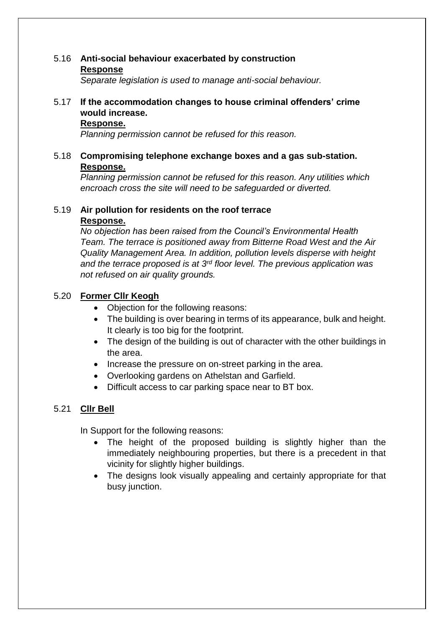### 5.16 **Anti-social behaviour exacerbated by construction Response**

*Separate legislation is used to manage anti-social behaviour.*

## 5.17 **If the accommodation changes to house criminal offenders' crime would increase.**

### **Response.**

*Planning permission cannot be refused for this reason.*

## 5.18 **Compromising telephone exchange boxes and a gas sub-station. Response.**

*Planning permission cannot be refused for this reason. Any utilities which encroach cross the site will need to be safeguarded or diverted.*

## 5.19 **Air pollution for residents on the roof terrace**

### **Response.**

*No objection has been raised from the Council's Environmental Health Team. The terrace is positioned away from Bitterne Road West and the Air Quality Management Area. In addition, pollution levels disperse with height and the terrace proposed is at 3rd floor level. The previous application was not refused on air quality grounds.* 

## 5.20 **Former Cllr Keogh**

- Objection for the following reasons:
- The building is over bearing in terms of its appearance, bulk and height. It clearly is too big for the footprint.
- The design of the building is out of character with the other buildings in the area.
- Increase the pressure on on-street parking in the area.
- Overlooking gardens on Athelstan and Garfield.
- Difficult access to car parking space near to BT box.

# 5.21 **Cllr Bell**

In Support for the following reasons:

- The height of the proposed building is slightly higher than the immediately neighbouring properties, but there is a precedent in that vicinity for slightly higher buildings.
- The designs look visually appealing and certainly appropriate for that busy junction.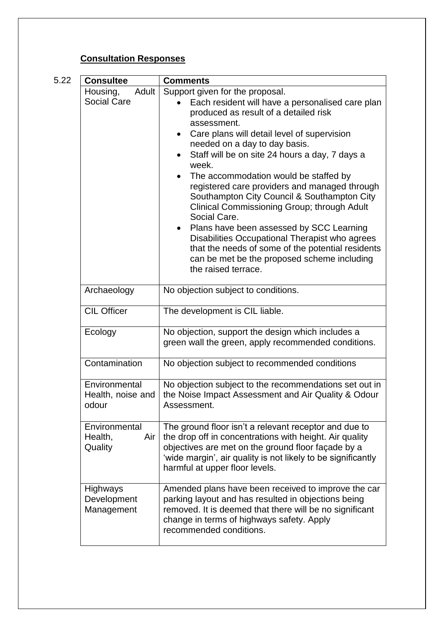# **Consultation Responses**

| 5.22 | <b>Consultee</b>                            | <b>Comments</b>                                                                                                                                                                                                                                                                                                                                                                                                                                                                                                                                                                                                                                                                                                         |
|------|---------------------------------------------|-------------------------------------------------------------------------------------------------------------------------------------------------------------------------------------------------------------------------------------------------------------------------------------------------------------------------------------------------------------------------------------------------------------------------------------------------------------------------------------------------------------------------------------------------------------------------------------------------------------------------------------------------------------------------------------------------------------------------|
|      | Adult<br>Housing,<br><b>Social Care</b>     | Support given for the proposal.<br>Each resident will have a personalised care plan<br>produced as result of a detailed risk<br>assessment.<br>Care plans will detail level of supervision<br>needed on a day to day basis.<br>Staff will be on site 24 hours a day, 7 days a<br>week.<br>The accommodation would be staffed by<br>registered care providers and managed through<br>Southampton City Council & Southampton City<br>Clinical Commissioning Group; through Adult<br>Social Care.<br>Plans have been assessed by SCC Learning<br>Disabilities Occupational Therapist who agrees<br>that the needs of some of the potential residents<br>can be met be the proposed scheme including<br>the raised terrace. |
|      | Archaeology                                 | No objection subject to conditions.                                                                                                                                                                                                                                                                                                                                                                                                                                                                                                                                                                                                                                                                                     |
|      | <b>CIL Officer</b>                          | The development is CIL liable.                                                                                                                                                                                                                                                                                                                                                                                                                                                                                                                                                                                                                                                                                          |
|      | Ecology                                     | No objection, support the design which includes a<br>green wall the green, apply recommended conditions.                                                                                                                                                                                                                                                                                                                                                                                                                                                                                                                                                                                                                |
|      | Contamination                               | No objection subject to recommended conditions                                                                                                                                                                                                                                                                                                                                                                                                                                                                                                                                                                                                                                                                          |
|      | Environmental<br>Health, noise and<br>odour | No objection subject to the recommendations set out in<br>the Noise Impact Assessment and Air Quality & Odour<br>Assessment.                                                                                                                                                                                                                                                                                                                                                                                                                                                                                                                                                                                            |
|      | Environmental<br>Health,<br>Air<br>Quality  | The ground floor isn't a relevant receptor and due to<br>the drop off in concentrations with height. Air quality<br>objectives are met on the ground floor façade by a<br>'wide margin', air quality is not likely to be significantly<br>harmful at upper floor levels.                                                                                                                                                                                                                                                                                                                                                                                                                                                |
|      | Highways<br>Development<br>Management       | Amended plans have been received to improve the car<br>parking layout and has resulted in objections being<br>removed. It is deemed that there will be no significant<br>change in terms of highways safety. Apply<br>recommended conditions.                                                                                                                                                                                                                                                                                                                                                                                                                                                                           |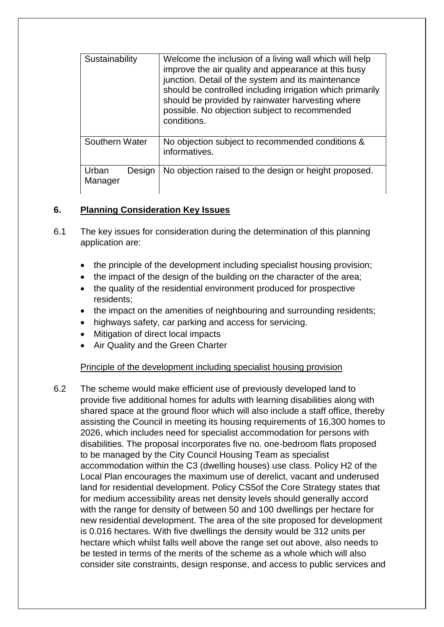| Sustainability             | Welcome the inclusion of a living wall which will help<br>improve the air quality and appearance at this busy<br>junction. Detail of the system and its maintenance           |
|----------------------------|-------------------------------------------------------------------------------------------------------------------------------------------------------------------------------|
|                            | should be controlled including irrigation which primarily<br>should be provided by rainwater harvesting where<br>possible. No objection subject to recommended<br>conditions. |
| Southern Water             | No objection subject to recommended conditions &<br>informatives.                                                                                                             |
| Urban<br>Design<br>Manager | No objection raised to the design or height proposed.                                                                                                                         |

## **6. Planning Consideration Key Issues**

- 6.1 The key issues for consideration during the determination of this planning application are:
	- the principle of the development including specialist housing provision;
	- the impact of the design of the building on the character of the area;
	- the quality of the residential environment produced for prospective residents;
	- the impact on the amenities of neighbouring and surrounding residents;
	- highways safety, car parking and access for servicing.
	- Mitigation of direct local impacts
	- Air Quality and the Green Charter

### Principle of the development including specialist housing provision

6.2 The scheme would make efficient use of previously developed land to provide five additional homes for adults with learning disabilities along with shared space at the ground floor which will also include a staff office, thereby assisting the Council in meeting its housing requirements of 16,300 homes to 2026, which includes need for specialist accommodation for persons with disabilities. The proposal incorporates five no. one-bedroom flats proposed to be managed by the City Council Housing Team as specialist accommodation within the C3 (dwelling houses) use class. Policy H2 of the Local Plan encourages the maximum use of derelict, vacant and underused land for residential development. Policy CS5of the Core Strategy states that for medium accessibility areas net density levels should generally accord with the range for density of between 50 and 100 dwellings per hectare for new residential development. The area of the site proposed for development is 0.016 hectares. With five dwellings the density would be 312 units per hectare which whilst falls well above the range set out above, also needs to be tested in terms of the merits of the scheme as a whole which will also consider site constraints, design response, and access to public services and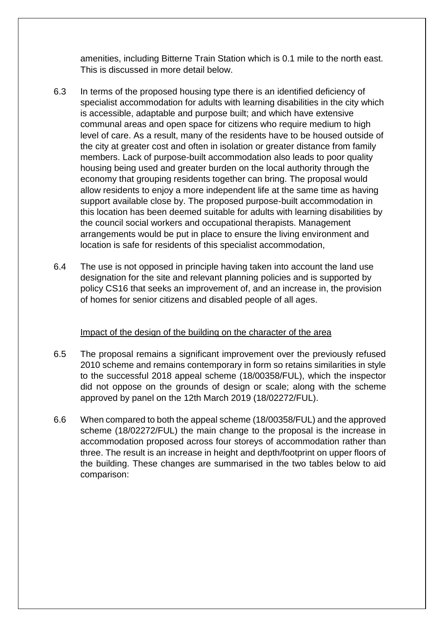amenities, including Bitterne Train Station which is 0.1 mile to the north east. This is discussed in more detail below.

- 6.3 In terms of the proposed housing type there is an identified deficiency of specialist accommodation for adults with learning disabilities in the city which is accessible, adaptable and purpose built; and which have extensive communal areas and open space for citizens who require medium to high level of care. As a result, many of the residents have to be housed outside of the city at greater cost and often in isolation or greater distance from family members. Lack of purpose-built accommodation also leads to poor quality housing being used and greater burden on the local authority through the economy that grouping residents together can bring. The proposal would allow residents to enjoy a more independent life at the same time as having support available close by. The proposed purpose-built accommodation in this location has been deemed suitable for adults with learning disabilities by the council social workers and occupational therapists. Management arrangements would be put in place to ensure the living environment and location is safe for residents of this specialist accommodation,
- 6.4 The use is not opposed in principle having taken into account the land use designation for the site and relevant planning policies and is supported by policy CS16 that seeks an improvement of, and an increase in, the provision of homes for senior citizens and disabled people of all ages.

### Impact of the design of the building on the character of the area

- 6.5 The proposal remains a significant improvement over the previously refused 2010 scheme and remains contemporary in form so retains similarities in style to the successful 2018 appeal scheme (18/00358/FUL), which the inspector did not oppose on the grounds of design or scale; along with the scheme approved by panel on the 12th March 2019 (18/02272/FUL).
- 6.6 When compared to both the appeal scheme (18/00358/FUL) and the approved scheme (18/02272/FUL) the main change to the proposal is the increase in accommodation proposed across four storeys of accommodation rather than three. The result is an increase in height and depth/footprint on upper floors of the building. These changes are summarised in the two tables below to aid comparison: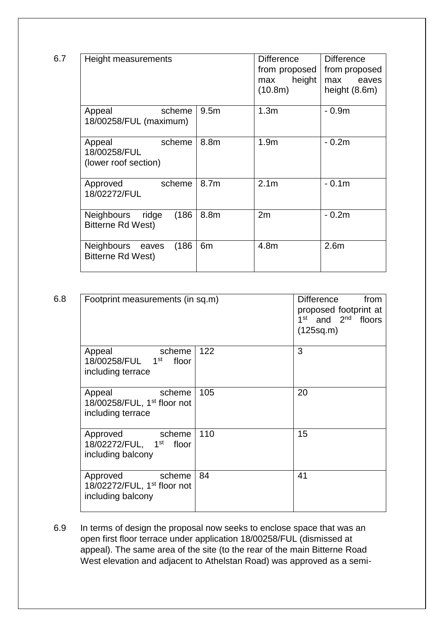| 6.7 | Height measurements                                      |                  | <b>Difference</b><br>from proposed<br>height<br>max<br>(10.8m) | <b>Difference</b><br>from proposed<br>max<br>eaves<br>height (8.6m) |
|-----|----------------------------------------------------------|------------------|----------------------------------------------------------------|---------------------------------------------------------------------|
|     | Appeal<br>scheme<br>18/00258/FUL (maximum)               | 9.5 <sub>m</sub> | 1.3 <sub>m</sub>                                               | $-0.9m$                                                             |
|     | Appeal<br>scheme<br>18/00258/FUL<br>(lower roof section) | 8.8m             | 1.9 <sub>m</sub>                                               | $-0.2m$                                                             |
|     | scheme<br>Approved<br>18/02272/FUL                       | 8.7 <sub>m</sub> | 2.1 <sub>m</sub>                                               | $-0.1m$                                                             |
|     | (186)<br>Neighbours<br>ridge<br>Bitterne Rd West)        | 8.8m             | 2m                                                             | $-0.2m$                                                             |
|     | (186)<br>Neighbours<br>eaves<br>Bitterne Rd West)        | 6m               | 4.8m                                                           | 2.6 <sub>m</sub>                                                    |

| 6.8 | Footprint measurements (in sq.m)                                                |     | <b>Difference</b><br>from<br>proposed footprint at<br>1 <sup>st</sup> and 2 <sup>nd</sup> floors<br>(125sq.m) |
|-----|---------------------------------------------------------------------------------|-----|---------------------------------------------------------------------------------------------------------------|
|     | Appeal<br>scheme<br>18/00258/FUL 1st<br>floor<br>including terrace              | 122 | 3                                                                                                             |
|     | Appeal<br>scheme<br>18/00258/FUL, $1st$ floor not<br>including terrace          | 105 | 20                                                                                                            |
|     | Approved scheme<br>18/02272/FUL, 1 <sup>st</sup> floor<br>including balcony     | 110 | 15                                                                                                            |
|     | Approved scheme<br>18/02272/FUL, 1 <sup>st</sup> floor not<br>including balcony | 84  | 41                                                                                                            |

6.9 In terms of design the proposal now seeks to enclose space that was an open first floor terrace under application 18/00258/FUL (dismissed at appeal). The same area of the site (to the rear of the main Bitterne Road West elevation and adjacent to Athelstan Road) was approved as a semi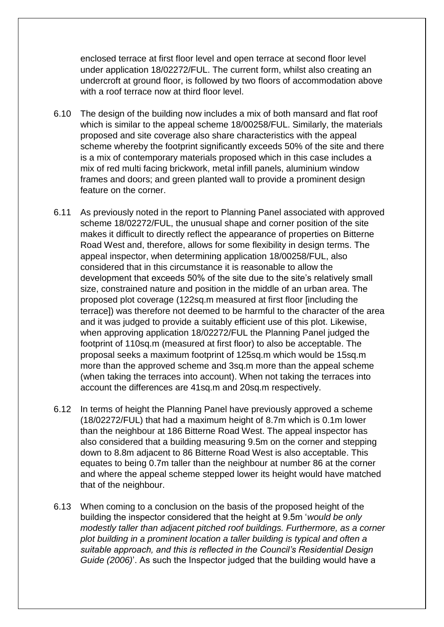enclosed terrace at first floor level and open terrace at second floor level under application 18/02272/FUL. The current form, whilst also creating an undercroft at ground floor, is followed by two floors of accommodation above with a roof terrace now at third floor level.

- 6.10 The design of the building now includes a mix of both mansard and flat roof which is similar to the appeal scheme 18/00258/FUL. Similarly, the materials proposed and site coverage also share characteristics with the appeal scheme whereby the footprint significantly exceeds 50% of the site and there is a mix of contemporary materials proposed which in this case includes a mix of red multi facing brickwork, metal infill panels, aluminium window frames and doors; and green planted wall to provide a prominent design feature on the corner.
- 6.11 As previously noted in the report to Planning Panel associated with approved scheme 18/02272/FUL, the unusual shape and corner position of the site makes it difficult to directly reflect the appearance of properties on Bitterne Road West and, therefore, allows for some flexibility in design terms. The appeal inspector, when determining application 18/00258/FUL, also considered that in this circumstance it is reasonable to allow the development that exceeds 50% of the site due to the site's relatively small size, constrained nature and position in the middle of an urban area. The proposed plot coverage (122sq.m measured at first floor [including the terrace]) was therefore not deemed to be harmful to the character of the area and it was judged to provide a suitably efficient use of this plot. Likewise, when approving application 18/02272/FUL the Planning Panel judged the footprint of 110sq.m (measured at first floor) to also be acceptable. The proposal seeks a maximum footprint of 125sq.m which would be 15sq.m more than the approved scheme and 3sq.m more than the appeal scheme (when taking the terraces into account). When not taking the terraces into account the differences are 41sq.m and 20sq.m respectively.
- 6.12 In terms of height the Planning Panel have previously approved a scheme (18/02272/FUL) that had a maximum height of 8.7m which is 0.1m lower than the neighbour at 186 Bitterne Road West. The appeal inspector has also considered that a building measuring 9.5m on the corner and stepping down to 8.8m adjacent to 86 Bitterne Road West is also acceptable. This equates to being 0.7m taller than the neighbour at number 86 at the corner and where the appeal scheme stepped lower its height would have matched that of the neighbour.
- 6.13 When coming to a conclusion on the basis of the proposed height of the building the inspector considered that the height at 9.5m '*would be only modestly taller than adjacent pitched roof buildings. Furthermore, as a corner plot building in a prominent location a taller building is typical and often a suitable approach, and this is reflected in the Council's Residential Design Guide (2006)*'. As such the Inspector judged that the building would have a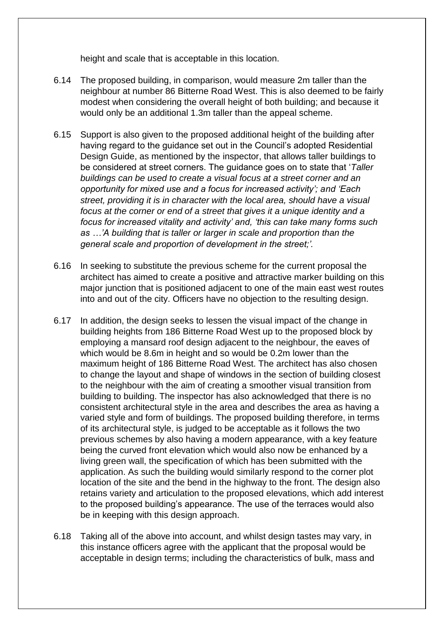height and scale that is acceptable in this location.

- 6.14 The proposed building, in comparison, would measure 2m taller than the neighbour at number 86 Bitterne Road West. This is also deemed to be fairly modest when considering the overall height of both building; and because it would only be an additional 1.3m taller than the appeal scheme.
- 6.15 Support is also given to the proposed additional height of the building after having regard to the guidance set out in the Council's adopted Residential Design Guide, as mentioned by the inspector, that allows taller buildings to be considered at street corners. The guidance goes on to state that '*Taller buildings can be used to create a visual focus at a street corner and an opportunity for mixed use and a focus for increased activity'; and 'Each street, providing it is in character with the local area, should have a visual focus at the corner or end of a street that gives it a unique identity and a focus for increased vitality and activity' and, 'this can take many forms such as …'A building that is taller or larger in scale and proportion than the general scale and proportion of development in the street;'.*
- 6.16 In seeking to substitute the previous scheme for the current proposal the architect has aimed to create a positive and attractive marker building on this major junction that is positioned adjacent to one of the main east west routes into and out of the city. Officers have no objection to the resulting design.
- 6.17 In addition, the design seeks to lessen the visual impact of the change in building heights from 186 Bitterne Road West up to the proposed block by employing a mansard roof design adjacent to the neighbour, the eaves of which would be 8.6m in height and so would be 0.2m lower than the maximum height of 186 Bitterne Road West. The architect has also chosen to change the layout and shape of windows in the section of building closest to the neighbour with the aim of creating a smoother visual transition from building to building. The inspector has also acknowledged that there is no consistent architectural style in the area and describes the area as having a varied style and form of buildings. The proposed building therefore, in terms of its architectural style, is judged to be acceptable as it follows the two previous schemes by also having a modern appearance, with a key feature being the curved front elevation which would also now be enhanced by a living green wall, the specification of which has been submitted with the application. As such the building would similarly respond to the corner plot location of the site and the bend in the highway to the front. The design also retains variety and articulation to the proposed elevations, which add interest to the proposed building's appearance. The use of the terraces would also be in keeping with this design approach.
- 6.18 Taking all of the above into account, and whilst design tastes may vary, in this instance officers agree with the applicant that the proposal would be acceptable in design terms; including the characteristics of bulk, mass and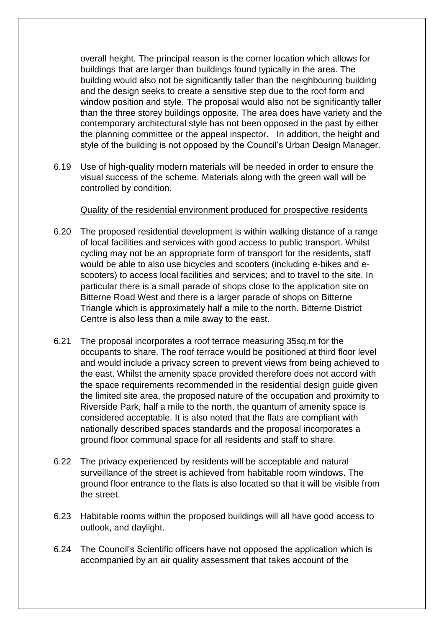overall height. The principal reason is the corner location which allows for buildings that are larger than buildings found typically in the area. The building would also not be significantly taller than the neighbouring building and the design seeks to create a sensitive step due to the roof form and window position and style. The proposal would also not be significantly taller than the three storey buildings opposite. The area does have variety and the contemporary architectural style has not been opposed in the past by either the planning committee or the appeal inspector. In addition, the height and style of the building is not opposed by the Council's Urban Design Manager.

6.19 Use of high-quality modern materials will be needed in order to ensure the visual success of the scheme. Materials along with the green wall will be controlled by condition.

#### Quality of the residential environment produced for prospective residents

- 6.20 The proposed residential development is within walking distance of a range of local facilities and services with good access to public transport. Whilst cycling may not be an appropriate form of transport for the residents, staff would be able to also use bicycles and scooters (including e-bikes and escooters) to access local facilities and services; and to travel to the site. In particular there is a small parade of shops close to the application site on Bitterne Road West and there is a larger parade of shops on Bitterne Triangle which is approximately half a mile to the north. Bitterne District Centre is also less than a mile away to the east.
- 6.21 The proposal incorporates a roof terrace measuring 35sq.m for the occupants to share. The roof terrace would be positioned at third floor level and would include a privacy screen to prevent views from being achieved to the east. Whilst the amenity space provided therefore does not accord with the space requirements recommended in the residential design guide given the limited site area, the proposed nature of the occupation and proximity to Riverside Park, half a mile to the north, the quantum of amenity space is considered acceptable. It is also noted that the flats are compliant with nationally described spaces standards and the proposal incorporates a ground floor communal space for all residents and staff to share.
- 6.22 The privacy experienced by residents will be acceptable and natural surveillance of the street is achieved from habitable room windows. The ground floor entrance to the flats is also located so that it will be visible from the street.
- 6.23 Habitable rooms within the proposed buildings will all have good access to outlook, and daylight.
- 6.24 The Council's Scientific officers have not opposed the application which is accompanied by an air quality assessment that takes account of the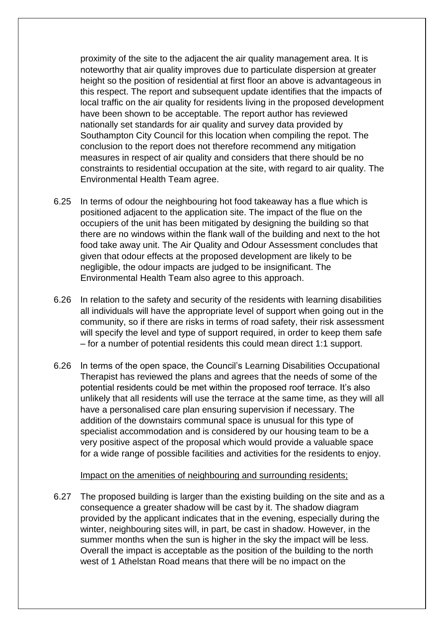proximity of the site to the adjacent the air quality management area. It is noteworthy that air quality improves due to particulate dispersion at greater height so the position of residential at first floor an above is advantageous in this respect. The report and subsequent update identifies that the impacts of local traffic on the air quality for residents living in the proposed development have been shown to be acceptable. The report author has reviewed nationally set standards for air quality and survey data provided by Southampton City Council for this location when compiling the repot. The conclusion to the report does not therefore recommend any mitigation measures in respect of air quality and considers that there should be no constraints to residential occupation at the site, with regard to air quality. The Environmental Health Team agree.

- 6.25 In terms of odour the neighbouring hot food takeaway has a flue which is positioned adjacent to the application site. The impact of the flue on the occupiers of the unit has been mitigated by designing the building so that there are no windows within the flank wall of the building and next to the hot food take away unit. The Air Quality and Odour Assessment concludes that given that odour effects at the proposed development are likely to be negligible, the odour impacts are judged to be insignificant. The Environmental Health Team also agree to this approach.
- 6.26 In relation to the safety and security of the residents with learning disabilities all individuals will have the appropriate level of support when going out in the community, so if there are risks in terms of road safety, their risk assessment will specify the level and type of support required, in order to keep them safe – for a number of potential residents this could mean direct 1:1 support.
- 6.26 In terms of the open space, the Council's Learning Disabilities Occupational Therapist has reviewed the plans and agrees that the needs of some of the potential residents could be met within the proposed roof terrace. It's also unlikely that all residents will use the terrace at the same time, as they will all have a personalised care plan ensuring supervision if necessary. The addition of the downstairs communal space is unusual for this type of specialist accommodation and is considered by our housing team to be a very positive aspect of the proposal which would provide a valuable space for a wide range of possible facilities and activities for the residents to enjoy.

Impact on the amenities of neighbouring and surrounding residents;

6.27 The proposed building is larger than the existing building on the site and as a consequence a greater shadow will be cast by it. The shadow diagram provided by the applicant indicates that in the evening, especially during the winter, neighbouring sites will, in part, be cast in shadow. However, in the summer months when the sun is higher in the sky the impact will be less. Overall the impact is acceptable as the position of the building to the north west of 1 Athelstan Road means that there will be no impact on the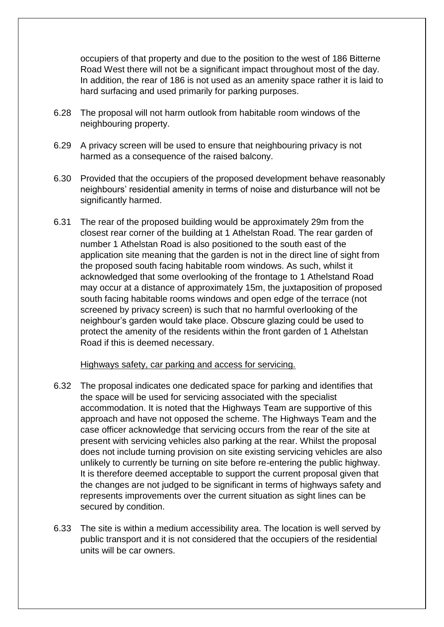occupiers of that property and due to the position to the west of 186 Bitterne Road West there will not be a significant impact throughout most of the day. In addition, the rear of 186 is not used as an amenity space rather it is laid to hard surfacing and used primarily for parking purposes.

- 6.28 The proposal will not harm outlook from habitable room windows of the neighbouring property.
- 6.29 A privacy screen will be used to ensure that neighbouring privacy is not harmed as a consequence of the raised balcony.
- 6.30 Provided that the occupiers of the proposed development behave reasonably neighbours' residential amenity in terms of noise and disturbance will not be significantly harmed.
- 6.31 The rear of the proposed building would be approximately 29m from the closest rear corner of the building at 1 Athelstan Road. The rear garden of number 1 Athelstan Road is also positioned to the south east of the application site meaning that the garden is not in the direct line of sight from the proposed south facing habitable room windows. As such, whilst it acknowledged that some overlooking of the frontage to 1 Athelstand Road may occur at a distance of approximately 15m, the juxtaposition of proposed south facing habitable rooms windows and open edge of the terrace (not screened by privacy screen) is such that no harmful overlooking of the neighbour's garden would take place. Obscure glazing could be used to protect the amenity of the residents within the front garden of 1 Athelstan Road if this is deemed necessary.

#### Highways safety, car parking and access for servicing.

- 6.32 The proposal indicates one dedicated space for parking and identifies that the space will be used for servicing associated with the specialist accommodation. It is noted that the Highways Team are supportive of this approach and have not opposed the scheme. The Highways Team and the case officer acknowledge that servicing occurs from the rear of the site at present with servicing vehicles also parking at the rear. Whilst the proposal does not include turning provision on site existing servicing vehicles are also unlikely to currently be turning on site before re-entering the public highway. It is therefore deemed acceptable to support the current proposal given that the changes are not judged to be significant in terms of highways safety and represents improvements over the current situation as sight lines can be secured by condition.
- 6.33 The site is within a medium accessibility area. The location is well served by public transport and it is not considered that the occupiers of the residential units will be car owners.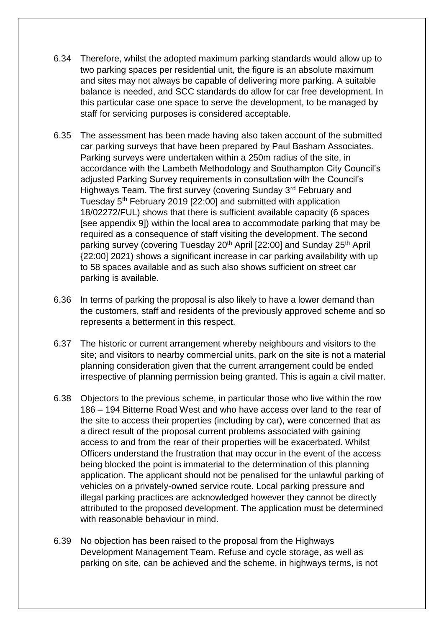- 6.34 Therefore, whilst the adopted maximum parking standards would allow up to two parking spaces per residential unit, the figure is an absolute maximum and sites may not always be capable of delivering more parking. A suitable balance is needed, and SCC standards do allow for car free development. In this particular case one space to serve the development, to be managed by staff for servicing purposes is considered acceptable.
- 6.35 The assessment has been made having also taken account of the submitted car parking surveys that have been prepared by Paul Basham Associates. Parking surveys were undertaken within a 250m radius of the site, in accordance with the Lambeth Methodology and Southampton City Council's adjusted Parking Survey requirements in consultation with the Council's Highways Team. The first survey (covering Sunday 3<sup>rd</sup> February and Tuesday 5th February 2019 [22:00] and submitted with application 18/02272/FUL) shows that there is sufficient available capacity (6 spaces [see appendix 9]) within the local area to accommodate parking that may be required as a consequence of staff visiting the development. The second parking survey (covering Tuesday 20<sup>th</sup> April [22:00] and Sunday 25<sup>th</sup> April {22:00] 2021) shows a significant increase in car parking availability with up to 58 spaces available and as such also shows sufficient on street car parking is available.
- 6.36 In terms of parking the proposal is also likely to have a lower demand than the customers, staff and residents of the previously approved scheme and so represents a betterment in this respect.
- 6.37 The historic or current arrangement whereby neighbours and visitors to the site; and visitors to nearby commercial units, park on the site is not a material planning consideration given that the current arrangement could be ended irrespective of planning permission being granted. This is again a civil matter.
- 6.38 Objectors to the previous scheme, in particular those who live within the row 186 – 194 Bitterne Road West and who have access over land to the rear of the site to access their properties (including by car), were concerned that as a direct result of the proposal current problems associated with gaining access to and from the rear of their properties will be exacerbated. Whilst Officers understand the frustration that may occur in the event of the access being blocked the point is immaterial to the determination of this planning application. The applicant should not be penalised for the unlawful parking of vehicles on a privately-owned service route. Local parking pressure and illegal parking practices are acknowledged however they cannot be directly attributed to the proposed development. The application must be determined with reasonable behaviour in mind.
- 6.39 No objection has been raised to the proposal from the Highways Development Management Team. Refuse and cycle storage, as well as parking on site, can be achieved and the scheme, in highways terms, is not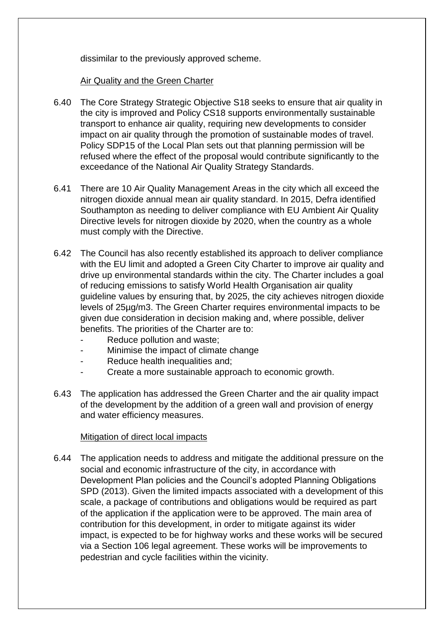dissimilar to the previously approved scheme.

### Air Quality and the Green Charter

- 6.40 The Core Strategy Strategic Objective S18 seeks to ensure that air quality in the city is improved and Policy CS18 supports environmentally sustainable transport to enhance air quality, requiring new developments to consider impact on air quality through the promotion of sustainable modes of travel. Policy SDP15 of the Local Plan sets out that planning permission will be refused where the effect of the proposal would contribute significantly to the exceedance of the National Air Quality Strategy Standards.
- 6.41 There are 10 Air Quality Management Areas in the city which all exceed the nitrogen dioxide annual mean air quality standard. In 2015, Defra identified Southampton as needing to deliver compliance with EU Ambient Air Quality Directive levels for nitrogen dioxide by 2020, when the country as a whole must comply with the Directive.
- 6.42 The Council has also recently established its approach to deliver compliance with the EU limit and adopted a Green City Charter to improve air quality and drive up environmental standards within the city. The Charter includes a goal of reducing emissions to satisfy World Health Organisation air quality guideline values by ensuring that, by 2025, the city achieves nitrogen dioxide levels of 25µg/m3. The Green Charter requires environmental impacts to be given due consideration in decision making and, where possible, deliver benefits. The priorities of the Charter are to:
	- Reduce pollution and waste;
	- Minimise the impact of climate change
	- Reduce health inequalities and;
	- Create a more sustainable approach to economic growth.
- 6.43 The application has addressed the Green Charter and the air quality impact of the development by the addition of a green wall and provision of energy and water efficiency measures.

### Mitigation of direct local impacts

6.44 The application needs to address and mitigate the additional pressure on the social and economic infrastructure of the city, in accordance with Development Plan policies and the Council's adopted Planning Obligations SPD (2013). Given the limited impacts associated with a development of this scale, a package of contributions and obligations would be required as part of the application if the application were to be approved. The main area of contribution for this development, in order to mitigate against its wider impact, is expected to be for highway works and these works will be secured via a Section 106 legal agreement. These works will be improvements to pedestrian and cycle facilities within the vicinity.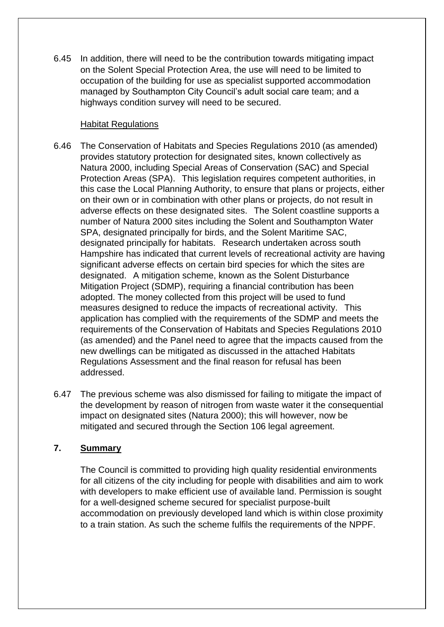6.45 In addition, there will need to be the contribution towards mitigating impact on the Solent Special Protection Area, the use will need to be limited to occupation of the building for use as specialist supported accommodation managed by Southampton City Council's adult social care team; and a highways condition survey will need to be secured.

### Habitat Regulations

- 6.46 The Conservation of Habitats and Species Regulations 2010 (as amended) provides statutory protection for designated sites, known collectively as Natura 2000, including Special Areas of Conservation (SAC) and Special Protection Areas (SPA). This legislation requires competent authorities, in this case the Local Planning Authority, to ensure that plans or projects, either on their own or in combination with other plans or projects, do not result in adverse effects on these designated sites. The Solent coastline supports a number of Natura 2000 sites including the Solent and Southampton Water SPA, designated principally for birds, and the Solent Maritime SAC, designated principally for habitats. Research undertaken across south Hampshire has indicated that current levels of recreational activity are having significant adverse effects on certain bird species for which the sites are designated. A mitigation scheme, known as the Solent Disturbance Mitigation Project (SDMP), requiring a financial contribution has been adopted. The money collected from this project will be used to fund measures designed to reduce the impacts of recreational activity. This application has complied with the requirements of the SDMP and meets the requirements of the Conservation of Habitats and Species Regulations 2010 (as amended) and the Panel need to agree that the impacts caused from the new dwellings can be mitigated as discussed in the attached Habitats Regulations Assessment and the final reason for refusal has been addressed.
- 6.47 The previous scheme was also dismissed for failing to mitigate the impact of the development by reason of nitrogen from waste water it the consequential impact on designated sites (Natura 2000); this will however, now be mitigated and secured through the Section 106 legal agreement.

## **7. Summary**

The Council is committed to providing high quality residential environments for all citizens of the city including for people with disabilities and aim to work with developers to make efficient use of available land. Permission is sought for a well-designed scheme secured for specialist purpose-built accommodation on previously developed land which is within close proximity to a train station. As such the scheme fulfils the requirements of the NPPF.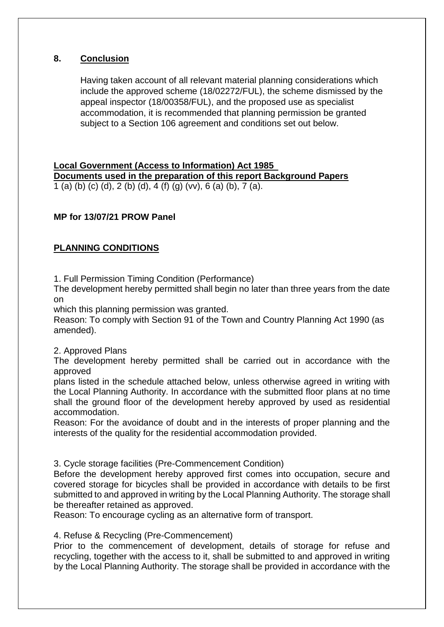## **8. Conclusion**

Having taken account of all relevant material planning considerations which include the approved scheme (18/02272/FUL), the scheme dismissed by the appeal inspector (18/00358/FUL), and the proposed use as specialist accommodation, it is recommended that planning permission be granted subject to a Section 106 agreement and conditions set out below.

### **Local Government (Access to Information) Act 1985 Documents used in the preparation of this report Background Papers** 1 (a) (b) (c) (d), 2 (b) (d), 4 (f) (g) (vv), 6 (a) (b),  $7\overline{)}$  (a).

### **MP for 13/07/21 PROW Panel**

## **PLANNING CONDITIONS**

1. Full Permission Timing Condition (Performance)

The development hereby permitted shall begin no later than three years from the date on

which this planning permission was granted.

Reason: To comply with Section 91 of the Town and Country Planning Act 1990 (as amended).

#### 2. Approved Plans

The development hereby permitted shall be carried out in accordance with the approved

plans listed in the schedule attached below, unless otherwise agreed in writing with the Local Planning Authority. In accordance with the submitted floor plans at no time shall the ground floor of the development hereby approved by used as residential accommodation.

Reason: For the avoidance of doubt and in the interests of proper planning and the interests of the quality for the residential accommodation provided.

### 3. Cycle storage facilities (Pre-Commencement Condition)

Before the development hereby approved first comes into occupation, secure and covered storage for bicycles shall be provided in accordance with details to be first submitted to and approved in writing by the Local Planning Authority. The storage shall be thereafter retained as approved.

Reason: To encourage cycling as an alternative form of transport.

### 4. Refuse & Recycling (Pre-Commencement)

Prior to the commencement of development, details of storage for refuse and recycling, together with the access to it, shall be submitted to and approved in writing by the Local Planning Authority. The storage shall be provided in accordance with the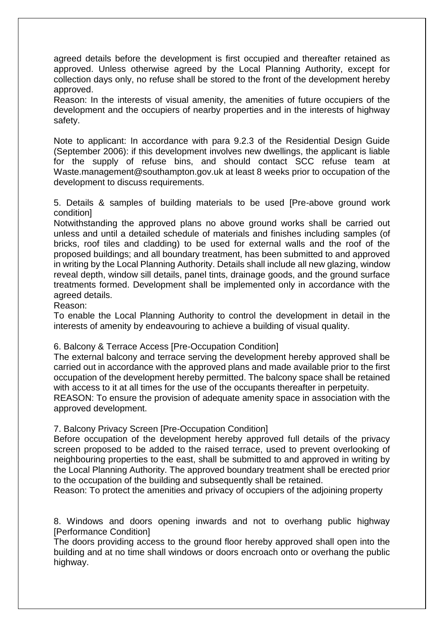agreed details before the development is first occupied and thereafter retained as approved. Unless otherwise agreed by the Local Planning Authority, except for collection days only, no refuse shall be stored to the front of the development hereby approved.

Reason: In the interests of visual amenity, the amenities of future occupiers of the development and the occupiers of nearby properties and in the interests of highway safety.

Note to applicant: In accordance with para 9.2.3 of the Residential Design Guide (September 2006): if this development involves new dwellings, the applicant is liable for the supply of refuse bins, and should contact SCC refuse team at Waste.management@southampton.gov.uk at least 8 weeks prior to occupation of the development to discuss requirements.

5. Details & samples of building materials to be used [Pre-above ground work condition]

Notwithstanding the approved plans no above ground works shall be carried out unless and until a detailed schedule of materials and finishes including samples (of bricks, roof tiles and cladding) to be used for external walls and the roof of the proposed buildings; and all boundary treatment, has been submitted to and approved in writing by the Local Planning Authority. Details shall include all new glazing, window reveal depth, window sill details, panel tints, drainage goods, and the ground surface treatments formed. Development shall be implemented only in accordance with the agreed details.

Reason:

To enable the Local Planning Authority to control the development in detail in the interests of amenity by endeavouring to achieve a building of visual quality.

6. Balcony & Terrace Access [Pre-Occupation Condition]

The external balcony and terrace serving the development hereby approved shall be carried out in accordance with the approved plans and made available prior to the first occupation of the development hereby permitted. The balcony space shall be retained with access to it at all times for the use of the occupants thereafter in perpetuity.

REASON: To ensure the provision of adequate amenity space in association with the approved development.

7. Balcony Privacy Screen [Pre-Occupation Condition]

Before occupation of the development hereby approved full details of the privacy screen proposed to be added to the raised terrace, used to prevent overlooking of neighbouring properties to the east, shall be submitted to and approved in writing by the Local Planning Authority. The approved boundary treatment shall be erected prior to the occupation of the building and subsequently shall be retained.

Reason: To protect the amenities and privacy of occupiers of the adjoining property

8. Windows and doors opening inwards and not to overhang public highway [Performance Condition]

The doors providing access to the ground floor hereby approved shall open into the building and at no time shall windows or doors encroach onto or overhang the public highway.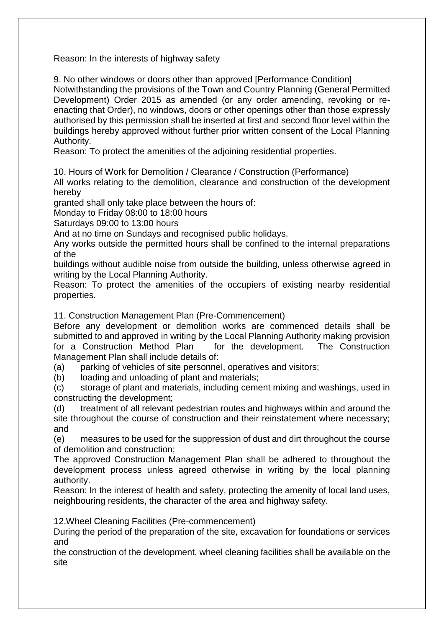Reason: In the interests of highway safety

9. No other windows or doors other than approved [Performance Condition] Notwithstanding the provisions of the Town and Country Planning (General Permitted Development) Order 2015 as amended (or any order amending, revoking or reenacting that Order), no windows, doors or other openings other than those expressly authorised by this permission shall be inserted at first and second floor level within the buildings hereby approved without further prior written consent of the Local Planning Authority.

Reason: To protect the amenities of the adjoining residential properties.

10. Hours of Work for Demolition / Clearance / Construction (Performance)

All works relating to the demolition, clearance and construction of the development hereby

granted shall only take place between the hours of:

Monday to Friday 08:00 to 18:00 hours

Saturdays 09:00 to 13:00 hours

And at no time on Sundays and recognised public holidays.

Any works outside the permitted hours shall be confined to the internal preparations of the

buildings without audible noise from outside the building, unless otherwise agreed in writing by the Local Planning Authority.

Reason: To protect the amenities of the occupiers of existing nearby residential properties.

11. Construction Management Plan (Pre-Commencement)

Before any development or demolition works are commenced details shall be submitted to and approved in writing by the Local Planning Authority making provision for a Construction Method Plan for the development. The Construction Management Plan shall include details of:

(a) parking of vehicles of site personnel, operatives and visitors;

(b) loading and unloading of plant and materials;

(c) storage of plant and materials, including cement mixing and washings, used in constructing the development;

(d) treatment of all relevant pedestrian routes and highways within and around the site throughout the course of construction and their reinstatement where necessary; and

(e) measures to be used for the suppression of dust and dirt throughout the course of demolition and construction;

The approved Construction Management Plan shall be adhered to throughout the development process unless agreed otherwise in writing by the local planning authority.

Reason: In the interest of health and safety, protecting the amenity of local land uses, neighbouring residents, the character of the area and highway safety.

12.Wheel Cleaning Facilities (Pre-commencement)

During the period of the preparation of the site, excavation for foundations or services and

the construction of the development, wheel cleaning facilities shall be available on the site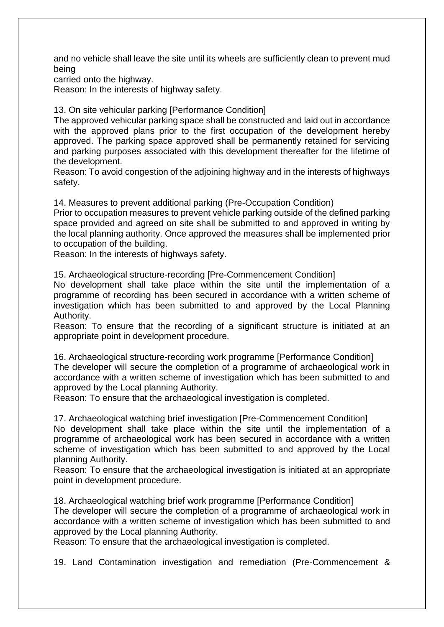and no vehicle shall leave the site until its wheels are sufficiently clean to prevent mud being

carried onto the highway.

Reason: In the interests of highway safety.

13. On site vehicular parking [Performance Condition]

The approved vehicular parking space shall be constructed and laid out in accordance with the approved plans prior to the first occupation of the development hereby approved. The parking space approved shall be permanently retained for servicing and parking purposes associated with this development thereafter for the lifetime of the development.

Reason: To avoid congestion of the adjoining highway and in the interests of highways safety.

14. Measures to prevent additional parking (Pre-Occupation Condition)

Prior to occupation measures to prevent vehicle parking outside of the defined parking space provided and agreed on site shall be submitted to and approved in writing by the local planning authority. Once approved the measures shall be implemented prior to occupation of the building.

Reason: In the interests of highways safety.

15. Archaeological structure-recording [Pre-Commencement Condition]

No development shall take place within the site until the implementation of a programme of recording has been secured in accordance with a written scheme of investigation which has been submitted to and approved by the Local Planning Authority.

Reason: To ensure that the recording of a significant structure is initiated at an appropriate point in development procedure.

16. Archaeological structure-recording work programme [Performance Condition] The developer will secure the completion of a programme of archaeological work in accordance with a written scheme of investigation which has been submitted to and approved by the Local planning Authority.

Reason: To ensure that the archaeological investigation is completed.

17. Archaeological watching brief investigation [Pre-Commencement Condition]

No development shall take place within the site until the implementation of a programme of archaeological work has been secured in accordance with a written scheme of investigation which has been submitted to and approved by the Local planning Authority.

Reason: To ensure that the archaeological investigation is initiated at an appropriate point in development procedure.

18. Archaeological watching brief work programme [Performance Condition] The developer will secure the completion of a programme of archaeological work in accordance with a written scheme of investigation which has been submitted to and approved by the Local planning Authority.

Reason: To ensure that the archaeological investigation is completed.

19. Land Contamination investigation and remediation (Pre-Commencement &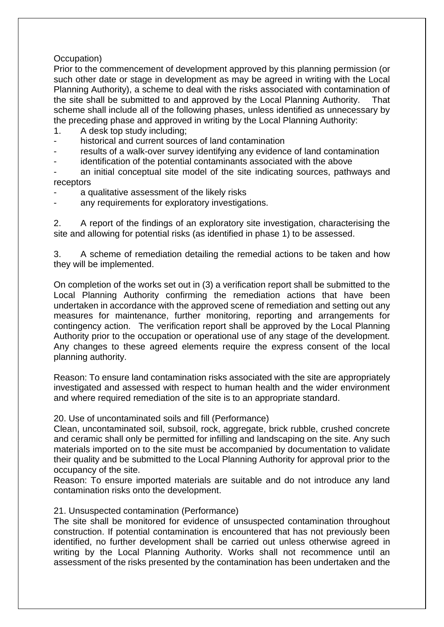### Occupation)

Prior to the commencement of development approved by this planning permission (or such other date or stage in development as may be agreed in writing with the Local Planning Authority), a scheme to deal with the risks associated with contamination of the site shall be submitted to and approved by the Local Planning Authority. That scheme shall include all of the following phases, unless identified as unnecessary by the preceding phase and approved in writing by the Local Planning Authority:

- 1. A desk top study including;
- historical and current sources of land contamination
- results of a walk-over survey identifying any evidence of land contamination
- identification of the potential contaminants associated with the above
- an initial conceptual site model of the site indicating sources, pathways and receptors
- a qualitative assessment of the likely risks
- any requirements for exploratory investigations.

2. A report of the findings of an exploratory site investigation, characterising the site and allowing for potential risks (as identified in phase 1) to be assessed.

3. A scheme of remediation detailing the remedial actions to be taken and how they will be implemented.

On completion of the works set out in (3) a verification report shall be submitted to the Local Planning Authority confirming the remediation actions that have been undertaken in accordance with the approved scene of remediation and setting out any measures for maintenance, further monitoring, reporting and arrangements for contingency action. The verification report shall be approved by the Local Planning Authority prior to the occupation or operational use of any stage of the development. Any changes to these agreed elements require the express consent of the local planning authority.

Reason: To ensure land contamination risks associated with the site are appropriately investigated and assessed with respect to human health and the wider environment and where required remediation of the site is to an appropriate standard.

20. Use of uncontaminated soils and fill (Performance)

Clean, uncontaminated soil, subsoil, rock, aggregate, brick rubble, crushed concrete and ceramic shall only be permitted for infilling and landscaping on the site. Any such materials imported on to the site must be accompanied by documentation to validate their quality and be submitted to the Local Planning Authority for approval prior to the occupancy of the site.

Reason: To ensure imported materials are suitable and do not introduce any land contamination risks onto the development.

### 21. Unsuspected contamination (Performance)

The site shall be monitored for evidence of unsuspected contamination throughout construction. If potential contamination is encountered that has not previously been identified, no further development shall be carried out unless otherwise agreed in writing by the Local Planning Authority. Works shall not recommence until an assessment of the risks presented by the contamination has been undertaken and the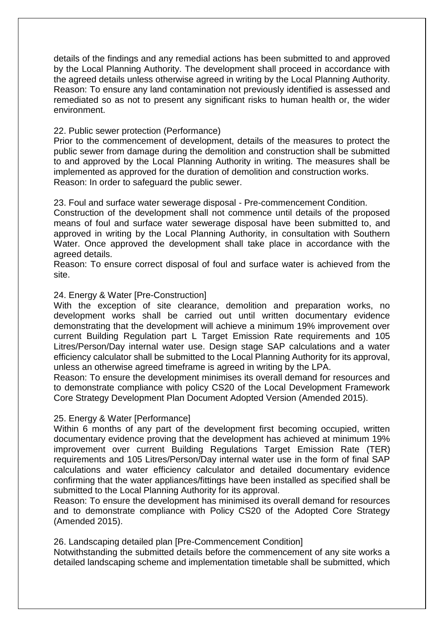details of the findings and any remedial actions has been submitted to and approved by the Local Planning Authority. The development shall proceed in accordance with the agreed details unless otherwise agreed in writing by the Local Planning Authority. Reason: To ensure any land contamination not previously identified is assessed and remediated so as not to present any significant risks to human health or, the wider environment.

#### 22. Public sewer protection (Performance)

Prior to the commencement of development, details of the measures to protect the public sewer from damage during the demolition and construction shall be submitted to and approved by the Local Planning Authority in writing. The measures shall be implemented as approved for the duration of demolition and construction works. Reason: In order to safeguard the public sewer.

23. Foul and surface water sewerage disposal - Pre-commencement Condition.

Construction of the development shall not commence until details of the proposed means of foul and surface water sewerage disposal have been submitted to, and approved in writing by the Local Planning Authority, in consultation with Southern Water. Once approved the development shall take place in accordance with the agreed details.

Reason: To ensure correct disposal of foul and surface water is achieved from the site.

#### 24. Energy & Water [Pre-Construction]

With the exception of site clearance, demolition and preparation works, no development works shall be carried out until written documentary evidence demonstrating that the development will achieve a minimum 19% improvement over current Building Regulation part L Target Emission Rate requirements and 105 Litres/Person/Day internal water use. Design stage SAP calculations and a water efficiency calculator shall be submitted to the Local Planning Authority for its approval, unless an otherwise agreed timeframe is agreed in writing by the LPA.

Reason: To ensure the development minimises its overall demand for resources and to demonstrate compliance with policy CS20 of the Local Development Framework Core Strategy Development Plan Document Adopted Version (Amended 2015).

#### 25. Energy & Water [Performance]

Within 6 months of any part of the development first becoming occupied, written documentary evidence proving that the development has achieved at minimum 19% improvement over current Building Regulations Target Emission Rate (TER) requirements and 105 Litres/Person/Day internal water use in the form of final SAP calculations and water efficiency calculator and detailed documentary evidence confirming that the water appliances/fittings have been installed as specified shall be submitted to the Local Planning Authority for its approval.

Reason: To ensure the development has minimised its overall demand for resources and to demonstrate compliance with Policy CS20 of the Adopted Core Strategy (Amended 2015).

#### 26. Landscaping detailed plan [Pre-Commencement Condition]

Notwithstanding the submitted details before the commencement of any site works a detailed landscaping scheme and implementation timetable shall be submitted, which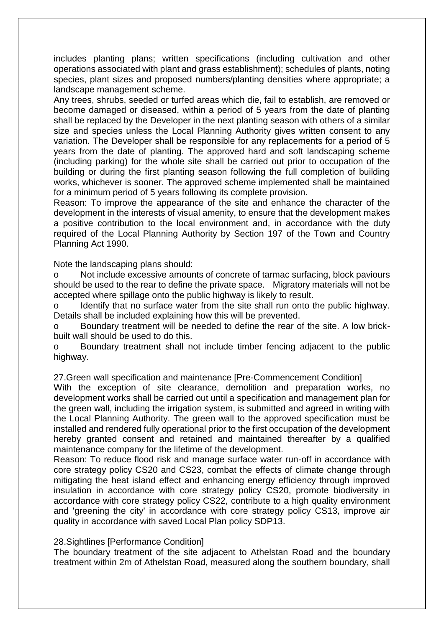includes planting plans; written specifications (including cultivation and other operations associated with plant and grass establishment); schedules of plants, noting species, plant sizes and proposed numbers/planting densities where appropriate; a landscape management scheme.

Any trees, shrubs, seeded or turfed areas which die, fail to establish, are removed or become damaged or diseased, within a period of 5 years from the date of planting shall be replaced by the Developer in the next planting season with others of a similar size and species unless the Local Planning Authority gives written consent to any variation. The Developer shall be responsible for any replacements for a period of 5 years from the date of planting. The approved hard and soft landscaping scheme (including parking) for the whole site shall be carried out prior to occupation of the building or during the first planting season following the full completion of building works, whichever is sooner. The approved scheme implemented shall be maintained for a minimum period of 5 years following its complete provision.

Reason: To improve the appearance of the site and enhance the character of the development in the interests of visual amenity, to ensure that the development makes a positive contribution to the local environment and, in accordance with the duty required of the Local Planning Authority by Section 197 of the Town and Country Planning Act 1990.

Note the landscaping plans should:

o Not include excessive amounts of concrete of tarmac surfacing, block paviours should be used to the rear to define the private space. Migratory materials will not be accepted where spillage onto the public highway is likely to result.

o Identify that no surface water from the site shall run onto the public highway. Details shall be included explaining how this will be prevented.

o Boundary treatment will be needed to define the rear of the site. A low brickbuilt wall should be used to do this.

o Boundary treatment shall not include timber fencing adjacent to the public highway.

27.Green wall specification and maintenance [Pre-Commencement Condition]

With the exception of site clearance, demolition and preparation works, no development works shall be carried out until a specification and management plan for the green wall, including the irrigation system, is submitted and agreed in writing with the Local Planning Authority. The green wall to the approved specification must be installed and rendered fully operational prior to the first occupation of the development hereby granted consent and retained and maintained thereafter by a qualified maintenance company for the lifetime of the development.

Reason: To reduce flood risk and manage surface water run-off in accordance with core strategy policy CS20 and CS23, combat the effects of climate change through mitigating the heat island effect and enhancing energy efficiency through improved insulation in accordance with core strategy policy CS20, promote biodiversity in accordance with core strategy policy CS22, contribute to a high quality environment and 'greening the city' in accordance with core strategy policy CS13, improve air quality in accordance with saved Local Plan policy SDP13.

#### 28.Sightlines [Performance Condition]

The boundary treatment of the site adjacent to Athelstan Road and the boundary treatment within 2m of Athelstan Road, measured along the southern boundary, shall